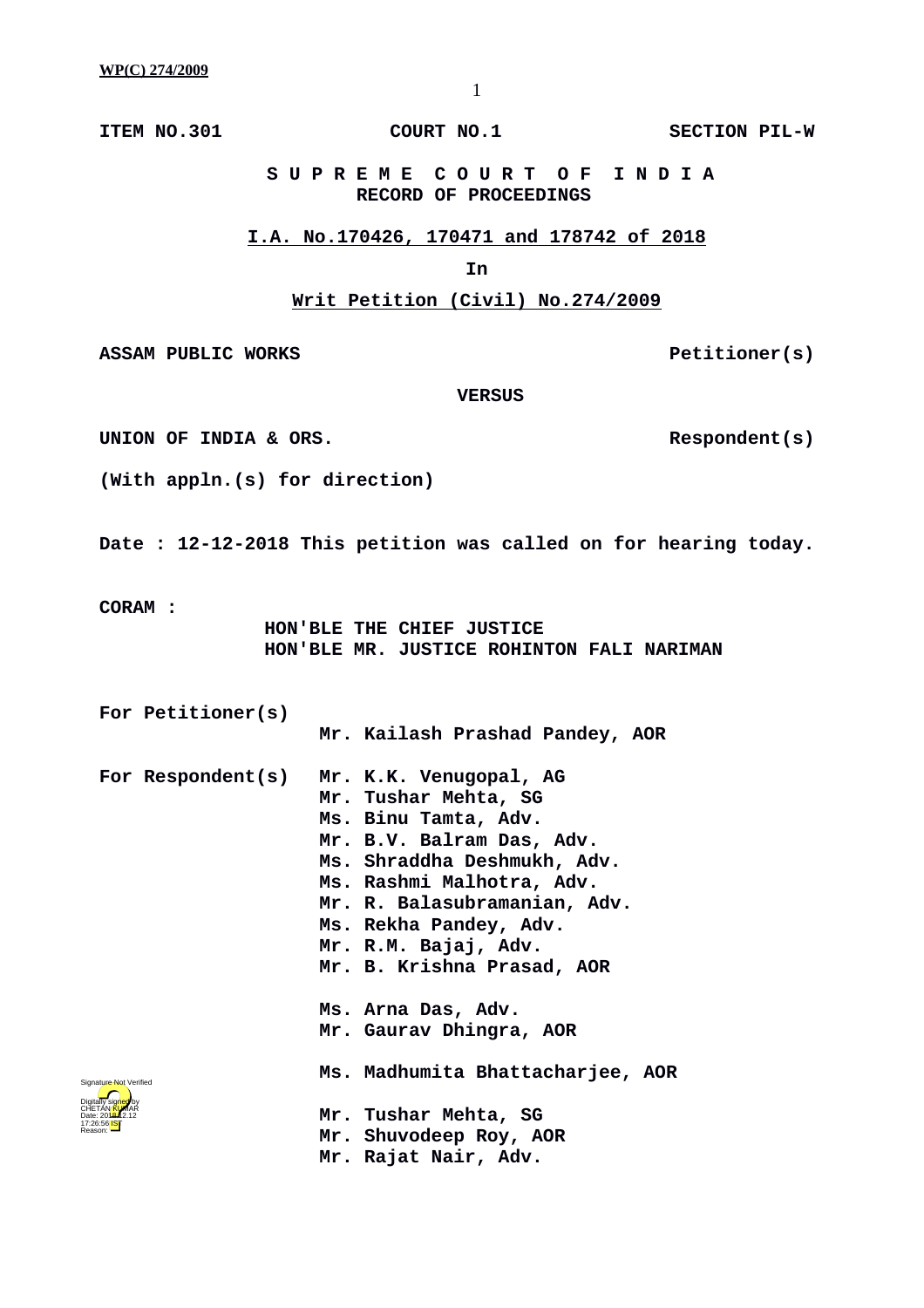**ITEM NO.301 COURT NO.1** SECTION PIL-W

 **S U P R E M E C O U R T O F I N D I A RECORD OF PROCEEDINGS**

#### **I.A. No.170426, 170471 and 178742 of 2018**

# **In**

# **Writ Petition (Civil) No.274/2009**

ASSAM PUBLIC WORKS **Petitioner(s)** 

 **VERSUS**

UNION OF INDIA & ORS.

**(With appln.(s) for direction)**

**Date : 12-12-2018 This petition was called on for hearing today.**

**CORAM :** 

 **HON'BLE THE CHIEF JUSTICE HON'BLE MR. JUSTICE ROHINTON FALI NARIMAN**

**For Petitioner(s)**

 **Mr. Kailash Prashad Pandey, AOR**

| For Respondent(s)                                        | Mr. K.K. Venugopal, AG<br>Mr. Tushar Mehta, SG<br>Ms. Binu Tamta, Adv.<br>Mr. B.V. Balram Das, Adv.<br>Ms. Shraddha Deshmukh, Adv.<br>Ms. Rashmi Malhotra, Adv.<br>Mr. R. Balasubramanian, Adv.<br>Ms. Rekha Pandey, Adv.<br>Mr. R.M. Bajaj, Adv.<br>Mr. B. Krishna Prasad, AOR |
|----------------------------------------------------------|---------------------------------------------------------------------------------------------------------------------------------------------------------------------------------------------------------------------------------------------------------------------------------|
|                                                          | Ms. Arna Das, Adv.<br>Mr. Gaurav Dhingra, AOR                                                                                                                                                                                                                                   |
| Signature Not Verified<br>Digitally signed<br>CHETAN/KUM | Ms. Madhumita Bhattacharjee, AOR<br>Mr. Tushar Mehta, SG<br>Mr. Shuvodeep Roy, AOR<br>Mr. Rajat Nair, Adv.                                                                                                                                                                      |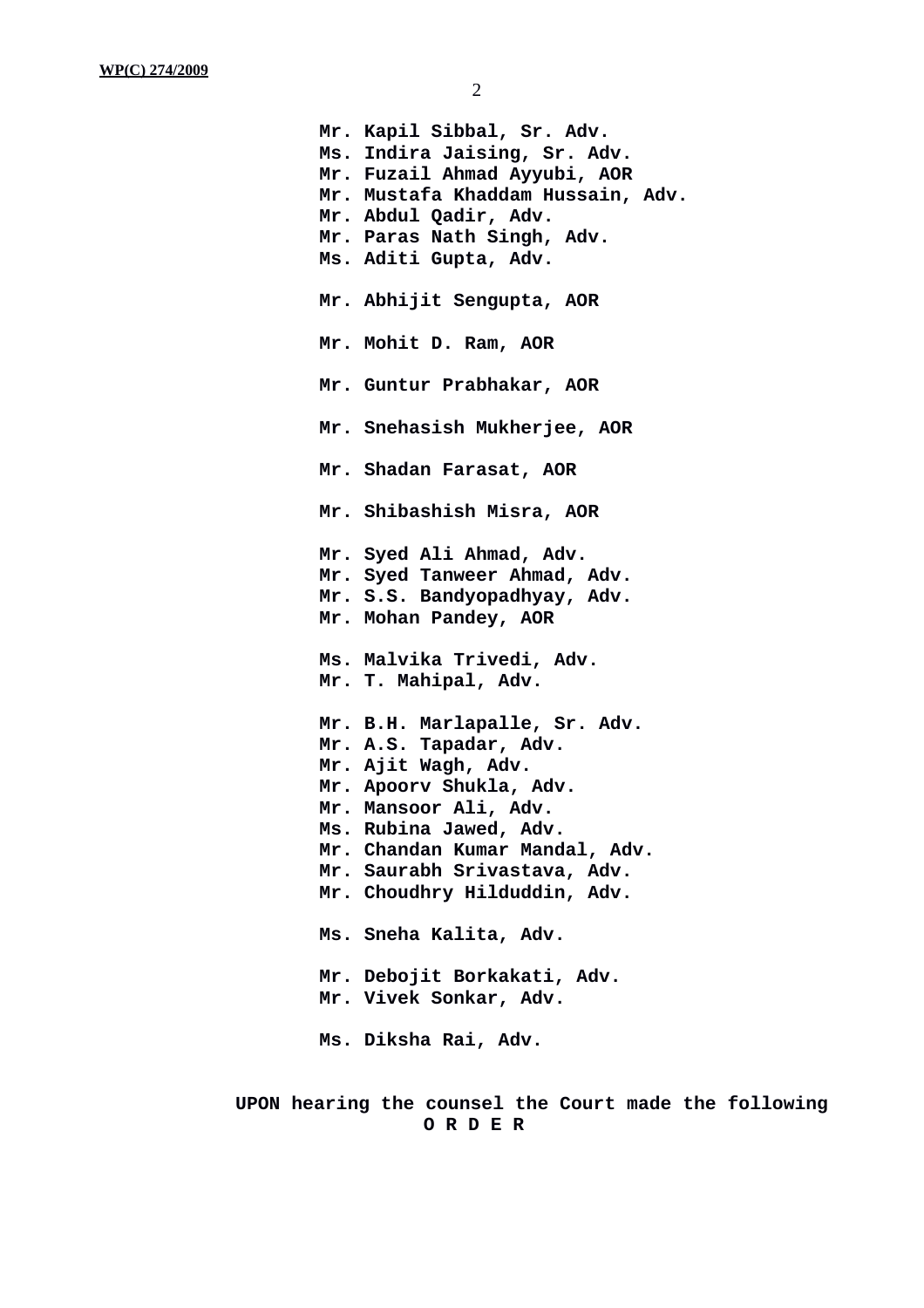**Mr. Kapil Sibbal, Sr. Adv. Ms. Indira Jaising, Sr. Adv. Mr. Fuzail Ahmad Ayyubi, AOR Mr. Mustafa Khaddam Hussain, Adv. Mr. Abdul Qadir, Adv. Mr. Paras Nath Singh, Adv. Ms. Aditi Gupta, Adv. Mr. Abhijit Sengupta, AOR Mr. Mohit D. Ram, AOR Mr. Guntur Prabhakar, AOR Mr. Snehasish Mukherjee, AOR Mr. Shadan Farasat, AOR Mr. Shibashish Misra, AOR Mr. Syed Ali Ahmad, Adv. Mr. Syed Tanweer Ahmad, Adv. Mr. S.S. Bandyopadhyay, Adv. Mr. Mohan Pandey, AOR Ms. Malvika Trivedi, Adv. Mr. T. Mahipal, Adv. Mr. B.H. Marlapalle, Sr. Adv. Mr. A.S. Tapadar, Adv. Mr. Ajit Wagh, Adv. Mr. Apoorv Shukla, Adv. Mr. Mansoor Ali, Adv. Ms. Rubina Jawed, Adv. Mr. Chandan Kumar Mandal, Adv. Mr. Saurabh Srivastava, Adv. Mr. Choudhry Hilduddin, Adv. Ms. Sneha Kalita, Adv. Mr. Debojit Borkakati, Adv. Mr. Vivek Sonkar, Adv. Ms. Diksha Rai, Adv.**

**UPON hearing the counsel the Court made the following O R D E R**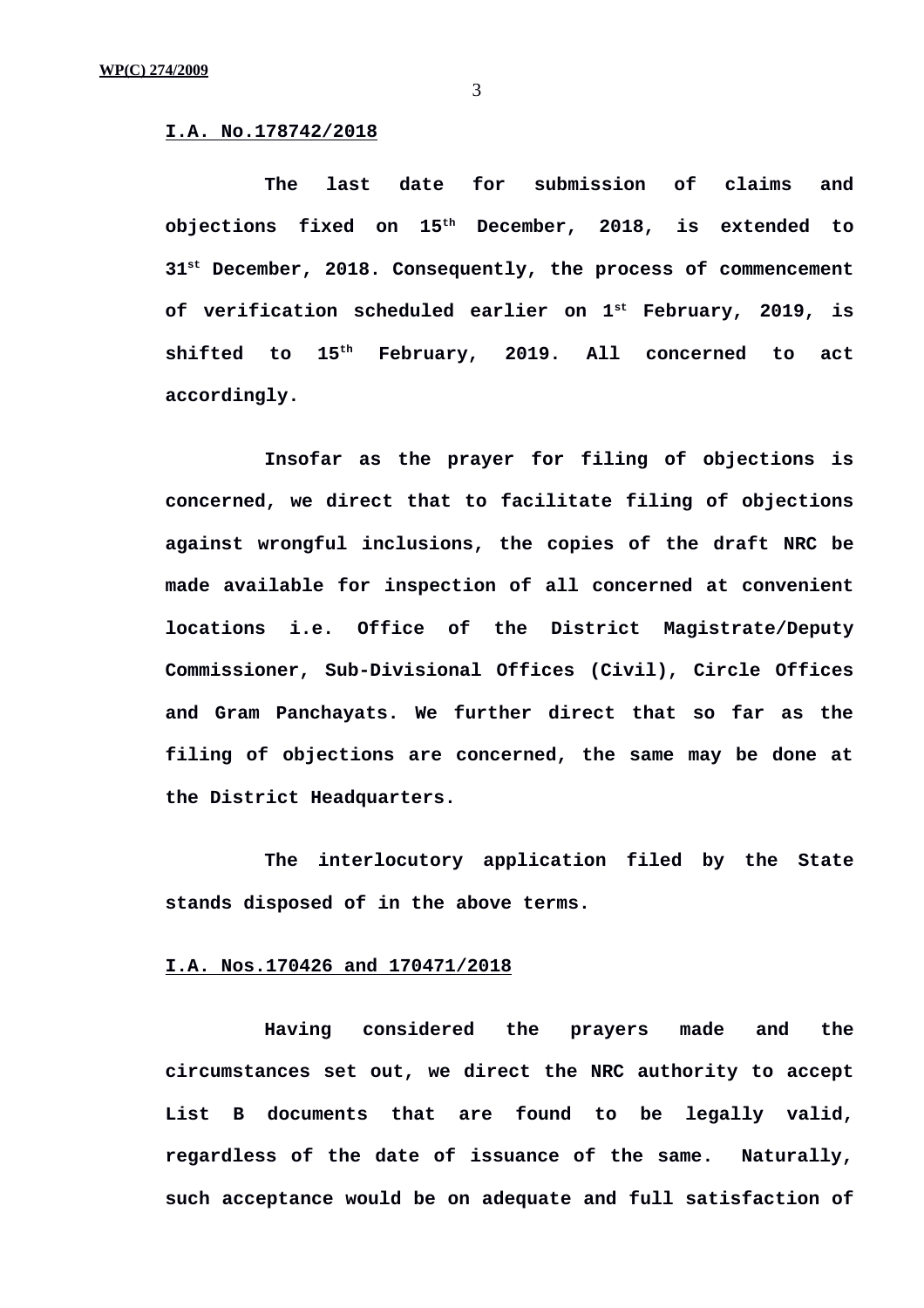#### **I.A. No.178742/2018**

**The last date for submission of claims and objections fixed on 15th December, 2018, is extended to 31st December, 2018. Consequently, the process of commencement of verification scheduled earlier on 1st February, 2019, is shifted to 15th February, 2019. All concerned to act accordingly.**

**Insofar as the prayer for filing of objections is concerned, we direct that to facilitate filing of objections against wrongful inclusions, the copies of the draft NRC be made available for inspection of all concerned at convenient locations i.e. Office of the District Magistrate/Deputy Commissioner, Sub-Divisional Offices (Civil), Circle Offices and Gram Panchayats. We further direct that so far as the filing of objections are concerned, the same may be done at the District Headquarters.**

**The interlocutory application filed by the State stands disposed of in the above terms.**

### **I.A. Nos.170426 and 170471/2018**

**Having considered the prayers made and the circumstances set out, we direct the NRC authority to accept List B documents that are found to be legally valid, regardless of the date of issuance of the same. Naturally, such acceptance would be on adequate and full satisfaction of**